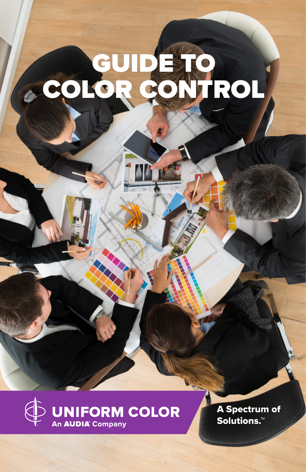# GUIDE TO COLOR CONTROL



A Spectrum of Solutions.™